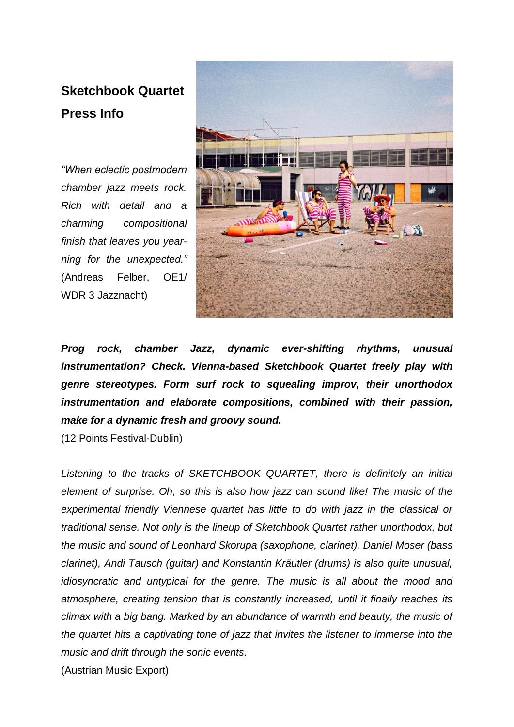# **Sketchbook Quartet Press Info**

*"When eclectic postmodern chamber jazz meets rock. Rich with detail and a charming compositional finish that leaves you yearning for the unexpected."* (Andreas Felber, OE1/ WDR 3 Jazznacht)



*Prog rock, chamber Jazz, dynamic ever-shifting rhythms, unusual instrumentation? Check. Vienna-based Sketchbook Quartet freely play with genre stereotypes. Form surf rock to squealing improv, their unorthodox instrumentation and elaborate compositions, combined with their passion, make for a dynamic fresh and groovy sound.*

(12 Points Festival-Dublin)

*Listening to the tracks of SKETCHBOOK QUARTET, there is definitely an initial element of surprise. Oh, so this is also how jazz can sound like! The music of the experimental friendly Viennese quartet has little to do with jazz in the classical or traditional sense. Not only is the lineup of Sketchbook Quartet rather unorthodox, but the music and sound of Leonhard Skorupa (saxophone, clarinet), Daniel Moser (bass clarinet), Andi Tausch (guitar) and Konstantin Kräutler (drums) is also quite unusual, idiosyncratic and untypical for the genre. The music is all about the mood and atmosphere, creating tension that is constantly increased, until it finally reaches its climax with a big bang. Marked by an abundance of warmth and beauty, the music of the quartet hits a captivating tone of jazz that invites the listener to immerse into the music and drift through the sonic events.*

(Austrian Music Export)